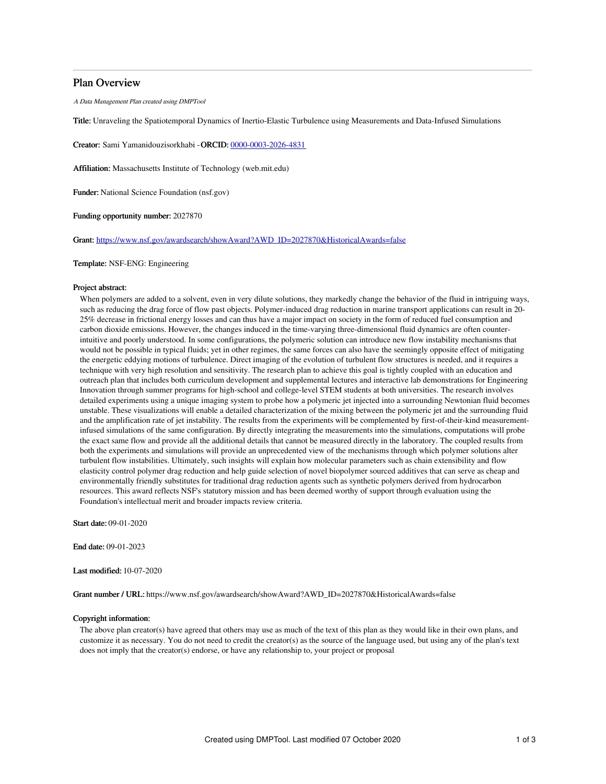## Plan Overview

A Data Management Plan created using DMPTool

Title: Unraveling the Spatiotemporal Dynamics of Inertio-Elastic Turbulence using Measurements and Data-Infused Simulations

Creator: Sami Yamanidouzisorkhabi -ORCID: [0000-0003-2026-4831](https://orcid.org/0000-0003-2026-4831)

Affiliation: Massachusetts Institute of Technology (web.mit.edu)

Funder: National Science Foundation (nsf.gov)

Funding opportunity number: 2027870

Grant: [https://www.nsf.gov/awardsearch/showAward?AWD\\_ID=2027870&HistoricalAwards=false](https://www.nsf.gov/awardsearch/showAward?AWD_ID=2027870&HistoricalAwards=false)

### Template: NSF-ENG: Engineering

#### Project abstract:

When polymers are added to a solvent, even in very dilute solutions, they markedly change the behavior of the fluid in intriguing ways, such as reducing the drag force of flow past objects. Polymer-induced drag reduction in marine transport applications can result in 20- 25% decrease in frictional energy losses and can thus have a major impact on society in the form of reduced fuel consumption and carbon dioxide emissions. However, the changes induced in the time-varying three-dimensional fluid dynamics are often counterintuitive and poorly understood. In some configurations, the polymeric solution can introduce new flow instability mechanisms that would not be possible in typical fluids; yet in other regimes, the same forces can also have the seemingly opposite effect of mitigating the energetic eddying motions of turbulence. Direct imaging of the evolution of turbulent flow structures is needed, and it requires a technique with very high resolution and sensitivity. The research plan to achieve this goal is tightly coupled with an education and outreach plan that includes both curriculum development and supplemental lectures and interactive lab demonstrations for Engineering Innovation through summer programs for high-school and college-level STEM students at both universities. The research involves detailed experiments using a unique imaging system to probe how a polymeric jet injected into a surrounding Newtonian fluid becomes unstable. These visualizations will enable a detailed characterization of the mixing between the polymeric jet and the surrounding fluid and the amplification rate of jet instability. The results from the experiments will be complemented by first-of-their-kind measurementinfused simulations of the same configuration. By directly integrating the measurements into the simulations, computations will probe the exact same flow and provide all the additional details that cannot be measured directly in the laboratory. The coupled results from both the experiments and simulations will provide an unprecedented view of the mechanisms through which polymer solutions alter turbulent flow instabilities. Ultimately, such insights will explain how molecular parameters such as chain extensibility and flow elasticity control polymer drag reduction and help guide selection of novel biopolymer sourced additives that can serve as cheap and environmentally friendly substitutes for traditional drag reduction agents such as synthetic polymers derived from hydrocarbon resources. This award reflects NSF's statutory mission and has been deemed worthy of support through evaluation using the Foundation's intellectual merit and broader impacts review criteria.

Start date: 09-01-2020

End date: 09-01-2023

Last modified: 10-07-2020

Grant number / URL: https://www.nsf.gov/awardsearch/showAward?AWD\_ID=2027870&HistoricalAwards=false

#### Copyright information:

The above plan creator(s) have agreed that others may use as much of the text of this plan as they would like in their own plans, and customize it as necessary. You do not need to credit the creator(s) as the source of the language used, but using any of the plan's text does not imply that the creator(s) endorse, or have any relationship to, your project or proposal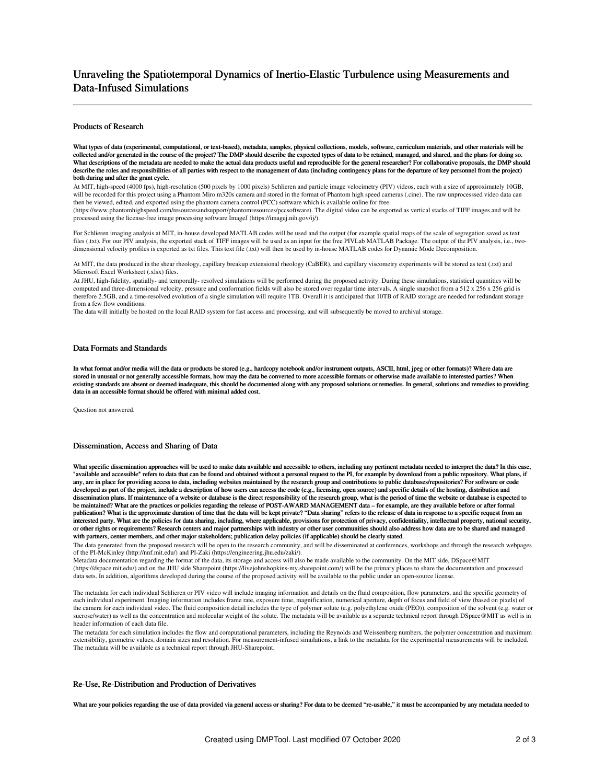# Unraveling the Spatiotemporal Dynamics of Inertio-Elastic Turbulence using Measurements and Data-Infused Simulations

## Products of Research

What types of data (experimental, computational, or text-based), metadata, samples, physical collections, models, software, curriculum materials, and other materials will be collected and/or generated in the course of the project? The DMP should describe the expected types of data to be retained, managed, and shared, and the plans for doing so. What descriptions of the metadata are needed to make the actual data products useful and reproducible for the general researcher? For collaborative proposals, the DMP should describe the roles and responsibilities of all parties with respect to the management of data (including contingency plans for the departure of key personnel from the project) both during and after the grant cycle.

At MIT, high-speed (4000 fps), high-resolution (500 pixels by 1000 pixels) Schlieren and particle image velocimetry (PIV) videos, each with a size of approximately 10GB, will be recorded for this project using a Phantom Miro m320s camera and stored in the format of Phantom high speed cameras (.cine). The raw unprocesssed video data can then be viewed, edited, and exported using the phantom camera control (PCC) software which is available online for free

(https://www.phantomhighspeed.com/resourcesandsupport/phantomresources/pccsoftware). The digital video can be exported as vertical stacks of TIFF images and will be processed using the license-free image processing software ImageJ (https://imagej.nih.gov/ij/).

For Schlieren imaging analysis at MIT, in-house developed MATLAB codes will be used and the output (for example spatial maps of the scale of segregation saved as text files (.txt). For our PIV analysis, the exported stack of TIFF images will be used as an input for the free PIVLab MATLAB Package. The output of the PIV analysis, i.e., twodimensional velocity profiles is exported as txt files. This text file (.txt) will then be used by in-house MATLAB codes for Dynamic Mode Decomposition.

At MIT, the data produced in the shear rheology, capillary breakup extensional rheology (CaBER), and capillary viscometry experiments will be stored as text (.txt) and Microsoft Excel Worksheet (.xlsx) files.

At JHU, high-fidelity, spatially- and temporally- resolved simulations will be performed during the proposed activity. During these simulations, statistical quantities will be computed and three-dimensional velocity, pressure and conformation fields will also be stored over regular time intervals. A single snapshot from a 512 x 256 x 256 grid is therefore 2.5GB, and a time-resolved evolution of a single simulation will require 1TB. Overall it is anticipated that 10TB of RAID storage are needed for redundant storage from a few flow conditions.

The data will initially be hosted on the local RAID system for fast access and processing, and will subsequently be moved to archival storage.

## Data Formats and Standards

In what format and/or media will the data or products be stored (e.g., hardcopy notebook and/or instrument outputs, ASCII, html, jpeg or other formats)? Where data are stored in unusual or not generally accessible formats, how may the data be converted to more accessible formats or otherwise made available to interested parties? When existing standards are absent or deemed inadequate, this should be documented along with any proposed solutions or remedies. In general, solutions and remedies to providing data in an accessible format should be offered with minimal added cost.

Question not answered.

#### Dissemination, Access and Sharing of Data

What specific dissemination approaches will be used to make data available and accessible to others, including any pertinent metadata needed to interpret the data? In this case, "available and accessible" refers to data that can be found and obtained without a personal request to the PI, for example by download from a public repository. What plans, if any, are in place for providing access to data, including websites maintained by the research group and contributions to public databases/repositories? For software or code developed as part of the project, include a description of how users can access the code (e.g., licensing, open source) and specific details of the hosting, distribution and dissemination plans. If maintenance of a website or database is the direct responsibility of the research group, what is the period of time the website or database is expected to be maintained? What are the practices or policies regarding the release of POST-AWARD MANAGEMENT data – for example, are they available before or after formal publication? What is the approximate duration of time that the data will be kept private? "Data sharing" refers to the release of data in response to a specific request from an<br>interested party. What are the policies for d or other rights or requirements? Research centers and major partnerships with industry or other user communities should also address how data are to be shared and managed with partners, center members, and other major stakeholders; publication delay policies (if applicable) should be clearly stated.

The data generated from the proposed research will be open to the research community, and will be disseminated at conferences, workshops and through the research webpages of the PI-McKinley (http://nnf.mit.edu/) and PI-Zaki (https://engineering.jhu.edu/zaki/).

Metadata documentation regarding the format of the data, its storage and access will also be made available to the community. On the MIT side, DSpace@MIT (https://dspace.mit.edu/) and on the JHU side Sharepoint (https://livejohnshopkins-my.sharepoint.com/) will be the primary places to share the documentation and processed data sets. In addition, algorithms developed during the course of the proposed activity will be available to the public under an open-source license.

The metadata for each individual Schlieren or PIV video will include imaging information and details on the fluid composition, flow parameters, and the specific geometry of each individual experiment. Imaging information includes frame rate, exposure time, magnification, numerical aperture, depth of focus and field of view (based on pixels) of the camera for each individual video. The fluid composition detail includes the type of polymer solute (e.g. polyethylene oxide (PEO)), composition of the solvent (e.g. water or sucrose/water) as well as the concentration and molecular weight of the solute. The metadata will be available as a separate technical report through DSpace@MIT as well is in header information of each data file.

The metadata for each simulation includes the flow and computational parameters, including the Reynolds and Weissenberg numbers, the polymer concentration and maximum extensibility, geometric values, domain sizes and resolution. For measurement-infused simulations, a link to the metadata for the experimental measurements will be included. The metadata will be available as a technical report through JHU-Sharepoint.

#### Re-Use, Re-Distribution and Production of Derivatives

What are your policies regarding the use of data provided via general access or sharing? For data to be deemed "re-usable," it must be accompanied by any metadata needed to